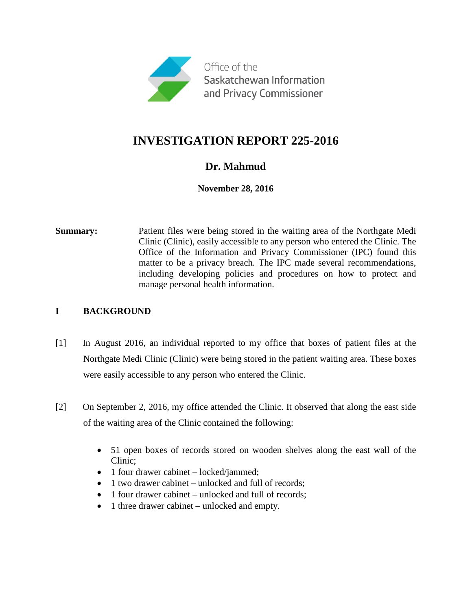

# **INVESTIGATION REPORT 225-2016**

## **Dr. Mahmud**

## **November 28, 2016**

**Summary:** Patient files were being stored in the waiting area of the Northgate Medi Clinic (Clinic), easily accessible to any person who entered the Clinic. The Office of the Information and Privacy Commissioner (IPC) found this matter to be a privacy breach. The IPC made several recommendations, including developing policies and procedures on how to protect and manage personal health information.

## **I BACKGROUND**

- [1] In August 2016, an individual reported to my office that boxes of patient files at the Northgate Medi Clinic (Clinic) were being stored in the patient waiting area. These boxes were easily accessible to any person who entered the Clinic.
- [2] On September 2, 2016, my office attended the Clinic. It observed that along the east side of the waiting area of the Clinic contained the following:
	- 51 open boxes of records stored on wooden shelves along the east wall of the Clinic;
	- 1 four drawer cabinet locked/jammed;
	- 1 two drawer cabinet unlocked and full of records;
	- 1 four drawer cabinet unlocked and full of records;
	- 1 three drawer cabinet unlocked and empty.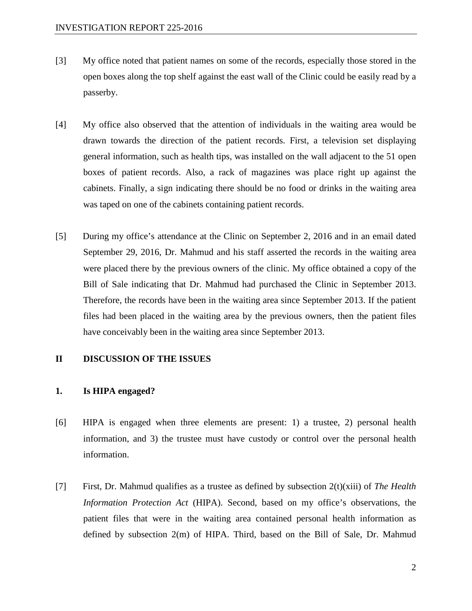- [3] My office noted that patient names on some of the records, especially those stored in the open boxes along the top shelf against the east wall of the Clinic could be easily read by a passerby.
- [4] My office also observed that the attention of individuals in the waiting area would be drawn towards the direction of the patient records. First, a television set displaying general information, such as health tips, was installed on the wall adjacent to the 51 open boxes of patient records. Also, a rack of magazines was place right up against the cabinets. Finally, a sign indicating there should be no food or drinks in the waiting area was taped on one of the cabinets containing patient records.
- [5] During my office's attendance at the Clinic on September 2, 2016 and in an email dated September 29, 2016, Dr. Mahmud and his staff asserted the records in the waiting area were placed there by the previous owners of the clinic. My office obtained a copy of the Bill of Sale indicating that Dr. Mahmud had purchased the Clinic in September 2013. Therefore, the records have been in the waiting area since September 2013. If the patient files had been placed in the waiting area by the previous owners, then the patient files have conceivably been in the waiting area since September 2013.

#### **II DISCUSSION OF THE ISSUES**

#### **1. Is HIPA engaged?**

- [6] HIPA is engaged when three elements are present: 1) a trustee, 2) personal health information, and 3) the trustee must have custody or control over the personal health information.
- [7] First, Dr. Mahmud qualifies as a trustee as defined by subsection 2(t)(xiii) of *The Health Information Protection Act* (HIPA). Second, based on my office's observations, the patient files that were in the waiting area contained personal health information as defined by subsection 2(m) of HIPA. Third, based on the Bill of Sale, Dr. Mahmud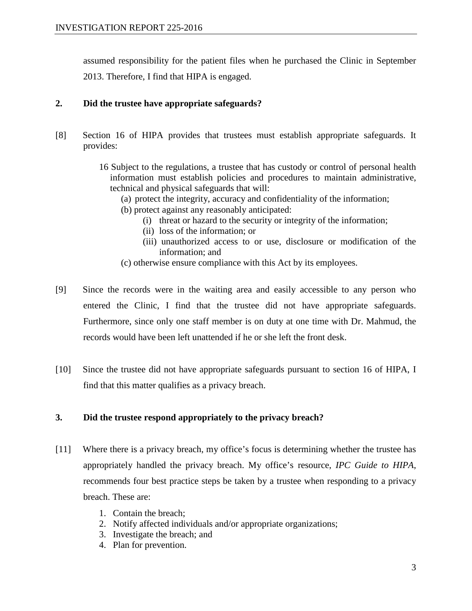assumed responsibility for the patient files when he purchased the Clinic in September 2013. Therefore, I find that HIPA is engaged.

### **2. Did the trustee have appropriate safeguards?**

- [8] Section 16 of HIPA provides that trustees must establish appropriate safeguards. It provides:
	- 16 Subject to the regulations, a trustee that has custody or control of personal health information must establish policies and procedures to maintain administrative, technical and physical safeguards that will:
		- (a) protect the integrity, accuracy and confidentiality of the information;
		- (b) protect against any reasonably anticipated:
			- (i) threat or hazard to the security or integrity of the information;
			- (ii) loss of the information; or
			- (iii) unauthorized access to or use, disclosure or modification of the information; and
		- (c) otherwise ensure compliance with this Act by its employees.
- [9] Since the records were in the waiting area and easily accessible to any person who entered the Clinic, I find that the trustee did not have appropriate safeguards. Furthermore, since only one staff member is on duty at one time with Dr. Mahmud, the records would have been left unattended if he or she left the front desk.
- [10] Since the trustee did not have appropriate safeguards pursuant to section 16 of HIPA, I find that this matter qualifies as a privacy breach.

#### **3. Did the trustee respond appropriately to the privacy breach?**

- [11] Where there is a privacy breach, my office's focus is determining whether the trustee has appropriately handled the privacy breach. My office's resource, *IPC Guide to HIPA*, recommends four best practice steps be taken by a trustee when responding to a privacy breach. These are:
	- 1. Contain the breach;
	- 2. Notify affected individuals and/or appropriate organizations;
	- 3. Investigate the breach; and
	- 4. Plan for prevention.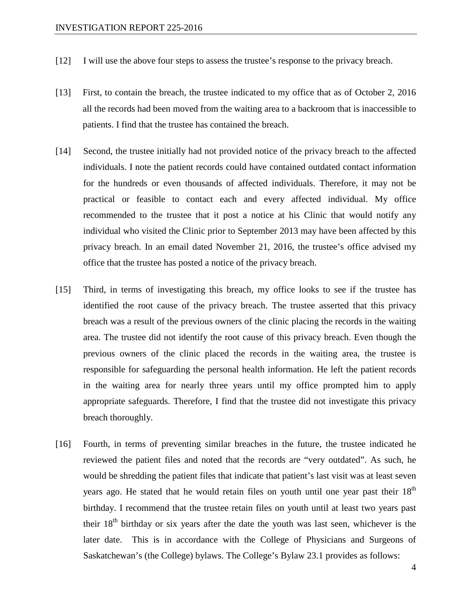- [12] I will use the above four steps to assess the trustee's response to the privacy breach.
- [13] First, to contain the breach, the trustee indicated to my office that as of October 2, 2016 all the records had been moved from the waiting area to a backroom that is inaccessible to patients. I find that the trustee has contained the breach.
- [14] Second, the trustee initially had not provided notice of the privacy breach to the affected individuals. I note the patient records could have contained outdated contact information for the hundreds or even thousands of affected individuals. Therefore, it may not be practical or feasible to contact each and every affected individual. My office recommended to the trustee that it post a notice at his Clinic that would notify any individual who visited the Clinic prior to September 2013 may have been affected by this privacy breach. In an email dated November 21, 2016, the trustee's office advised my office that the trustee has posted a notice of the privacy breach.
- [15] Third, in terms of investigating this breach, my office looks to see if the trustee has identified the root cause of the privacy breach. The trustee asserted that this privacy breach was a result of the previous owners of the clinic placing the records in the waiting area. The trustee did not identify the root cause of this privacy breach. Even though the previous owners of the clinic placed the records in the waiting area, the trustee is responsible for safeguarding the personal health information. He left the patient records in the waiting area for nearly three years until my office prompted him to apply appropriate safeguards. Therefore, I find that the trustee did not investigate this privacy breach thoroughly.
- [16] Fourth, in terms of preventing similar breaches in the future, the trustee indicated he reviewed the patient files and noted that the records are "very outdated". As such, he would be shredding the patient files that indicate that patient's last visit was at least seven years ago. He stated that he would retain files on youth until one year past their  $18<sup>th</sup>$ birthday. I recommend that the trustee retain files on youth until at least two years past their  $18<sup>th</sup>$  birthday or six years after the date the youth was last seen, whichever is the later date. This is in accordance with the College of Physicians and Surgeons of Saskatchewan's (the College) bylaws. The College's Bylaw 23.1 provides as follows: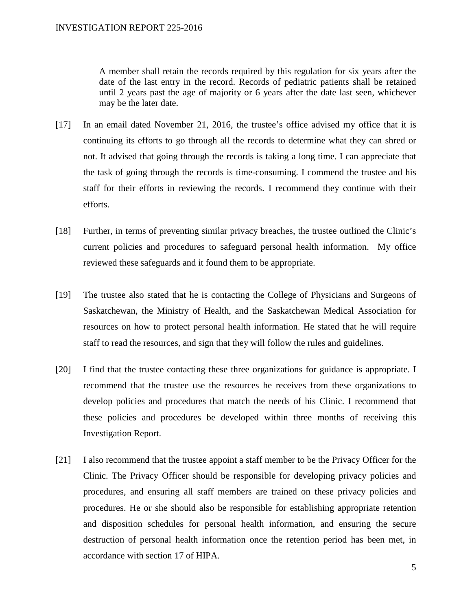A member shall retain the records required by this regulation for six years after the date of the last entry in the record. Records of pediatric patients shall be retained until 2 years past the age of majority or 6 years after the date last seen, whichever may be the later date.

- [17] In an email dated November 21, 2016, the trustee's office advised my office that it is continuing its efforts to go through all the records to determine what they can shred or not. It advised that going through the records is taking a long time. I can appreciate that the task of going through the records is time-consuming. I commend the trustee and his staff for their efforts in reviewing the records. I recommend they continue with their efforts.
- [18] Further, in terms of preventing similar privacy breaches, the trustee outlined the Clinic's current policies and procedures to safeguard personal health information. My office reviewed these safeguards and it found them to be appropriate.
- [19] The trustee also stated that he is contacting the College of Physicians and Surgeons of Saskatchewan, the Ministry of Health, and the Saskatchewan Medical Association for resources on how to protect personal health information. He stated that he will require staff to read the resources, and sign that they will follow the rules and guidelines.
- [20] I find that the trustee contacting these three organizations for guidance is appropriate. I recommend that the trustee use the resources he receives from these organizations to develop policies and procedures that match the needs of his Clinic. I recommend that these policies and procedures be developed within three months of receiving this Investigation Report.
- [21] I also recommend that the trustee appoint a staff member to be the Privacy Officer for the Clinic. The Privacy Officer should be responsible for developing privacy policies and procedures, and ensuring all staff members are trained on these privacy policies and procedures. He or she should also be responsible for establishing appropriate retention and disposition schedules for personal health information, and ensuring the secure destruction of personal health information once the retention period has been met, in accordance with section 17 of HIPA.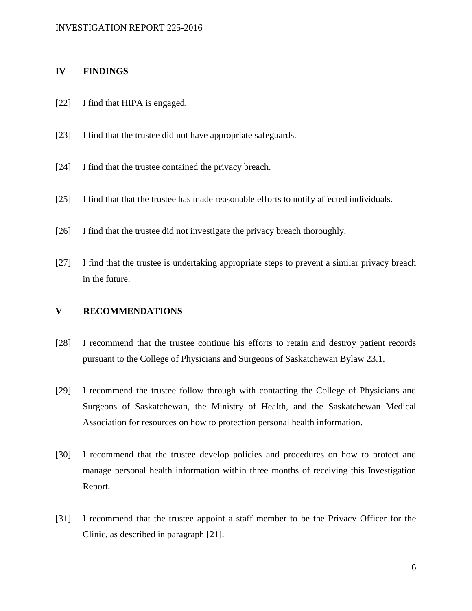#### **IV FINDINGS**

- [22] I find that HIPA is engaged.
- [23] I find that the trustee did not have appropriate safeguards.
- [24] I find that the trustee contained the privacy breach.
- [25] I find that that the trustee has made reasonable efforts to notify affected individuals.
- [26] I find that the trustee did not investigate the privacy breach thoroughly.
- [27] I find that the trustee is undertaking appropriate steps to prevent a similar privacy breach in the future.

#### **V RECOMMENDATIONS**

- [28] I recommend that the trustee continue his efforts to retain and destroy patient records pursuant to the College of Physicians and Surgeons of Saskatchewan Bylaw 23.1.
- [29] I recommend the trustee follow through with contacting the College of Physicians and Surgeons of Saskatchewan, the Ministry of Health, and the Saskatchewan Medical Association for resources on how to protection personal health information.
- [30] I recommend that the trustee develop policies and procedures on how to protect and manage personal health information within three months of receiving this Investigation Report.
- [31] I recommend that the trustee appoint a staff member to be the Privacy Officer for the Clinic, as described in paragraph [21].